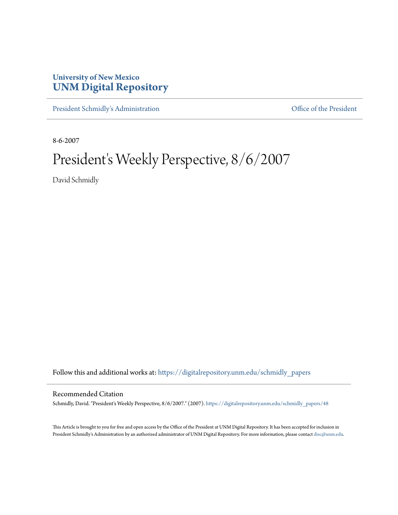## **University of New Mexico [UNM Digital Repository](https://digitalrepository.unm.edu?utm_source=digitalrepository.unm.edu%2Fschmidly_papers%2F48&utm_medium=PDF&utm_campaign=PDFCoverPages)**

[President Schmidly's Administration](https://digitalrepository.unm.edu/schmidly_papers?utm_source=digitalrepository.unm.edu%2Fschmidly_papers%2F48&utm_medium=PDF&utm_campaign=PDFCoverPages) [Office of the President](https://digitalrepository.unm.edu/ofc_president?utm_source=digitalrepository.unm.edu%2Fschmidly_papers%2F48&utm_medium=PDF&utm_campaign=PDFCoverPages)

8-6-2007

## President's Weekly Perspective, 8/6/2007

David Schmidly

Follow this and additional works at: [https://digitalrepository.unm.edu/schmidly\\_papers](https://digitalrepository.unm.edu/schmidly_papers?utm_source=digitalrepository.unm.edu%2Fschmidly_papers%2F48&utm_medium=PDF&utm_campaign=PDFCoverPages)

## Recommended Citation

Schmidly, David. "President's Weekly Perspective, 8/6/2007." (2007). [https://digitalrepository.unm.edu/schmidly\\_papers/48](https://digitalrepository.unm.edu/schmidly_papers/48?utm_source=digitalrepository.unm.edu%2Fschmidly_papers%2F48&utm_medium=PDF&utm_campaign=PDFCoverPages)

This Article is brought to you for free and open access by the Office of the President at UNM Digital Repository. It has been accepted for inclusion in President Schmidly's Administration by an authorized administrator of UNM Digital Repository. For more information, please contact [disc@unm.edu](mailto:disc@unm.edu).